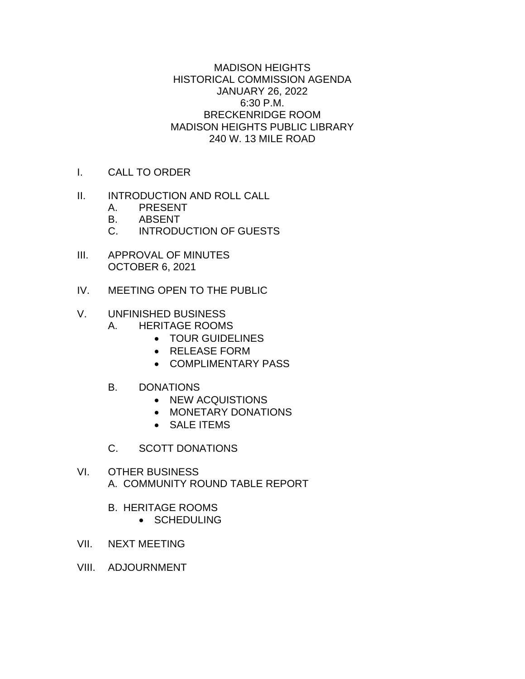MADISON HEIGHTS HISTORICAL COMMISSION AGENDA JANUARY 26, 2022 6:30 P.M. BRECKENRIDGE ROOM MADISON HEIGHTS PUBLIC LIBRARY 240 W. 13 MILE ROAD

- I. CALL TO ORDER
- II. INTRODUCTION AND ROLL CALL
	- A. PRESENT
	- B. ABSENT
	- C. INTRODUCTION OF GUESTS
- III. APPROVAL OF MINUTES OCTOBER 6, 2021
- IV. MEETING OPEN TO THE PUBLIC

# V. UNFINISHED BUSINESS

- A. HERITAGE ROOMS
	- TOUR GUIDELINES
	- RELEASE FORM
	- COMPLIMENTARY PASS
- B. DONATIONS
	- NEW ACQUISTIONS
	- MONETARY DONATIONS
	- SALE ITEMS
- C. SCOTT DONATIONS
- VI. OTHER BUSINESS A. COMMUNITY ROUND TABLE REPORT
	- B. HERITAGE ROOMS
		- SCHEDULING
- VII. NEXT MEETING
- VIII. ADJOURNMENT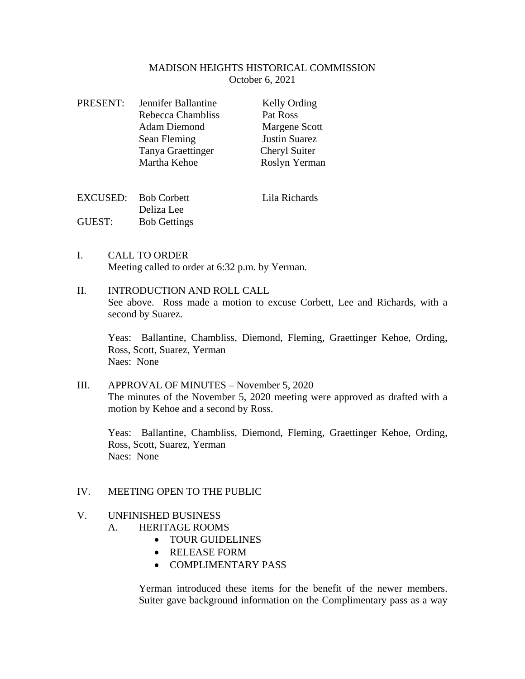### MADISON HEIGHTS HISTORICAL COMMISSION October 6, 2021

| <b>PRESENT:</b> | Jennifer Ballantine | Kelly Ording         |  |
|-----------------|---------------------|----------------------|--|
|                 | Rebecca Chambliss   | Pat Ross             |  |
|                 | <b>Adam Diemond</b> | Margene Scott        |  |
|                 | Sean Fleming        | <b>Justin Suarez</b> |  |
|                 | Tanya Graettinger   | Cheryl Suiter        |  |
|                 | Martha Kehoe        | Roslyn Yerman        |  |
|                 |                     |                      |  |
|                 |                     |                      |  |

|        | EXCUSED: Bob Corbett | Lila Richards |
|--------|----------------------|---------------|
|        | Deliza Lee           |               |
| GUEST: | <b>Bob Gettings</b>  |               |

I. CALL TO ORDER Meeting called to order at 6:32 p.m. by Yerman.

# II. INTRODUCTION AND ROLL CALL See above. Ross made a motion to excuse Corbett, Lee and Richards, with a second by Suarez.

Yeas: Ballantine, Chambliss, Diemond, Fleming, Graettinger Kehoe, Ording, Ross, Scott, Suarez, Yerman Naes: None

III. APPROVAL OF MINUTES – November 5, 2020 The minutes of the November 5, 2020 meeting were approved as drafted with a motion by Kehoe and a second by Ross.

Yeas: Ballantine, Chambliss, Diemond, Fleming, Graettinger Kehoe, Ording, Ross, Scott, Suarez, Yerman Naes: None

# IV. MEETING OPEN TO THE PUBLIC

# V. UNFINISHED BUSINESS

- A. HERITAGE ROOMS
	- TOUR GUIDELINES
	- RELEASE FORM
	- COMPLIMENTARY PASS

Yerman introduced these items for the benefit of the newer members. Suiter gave background information on the Complimentary pass as a way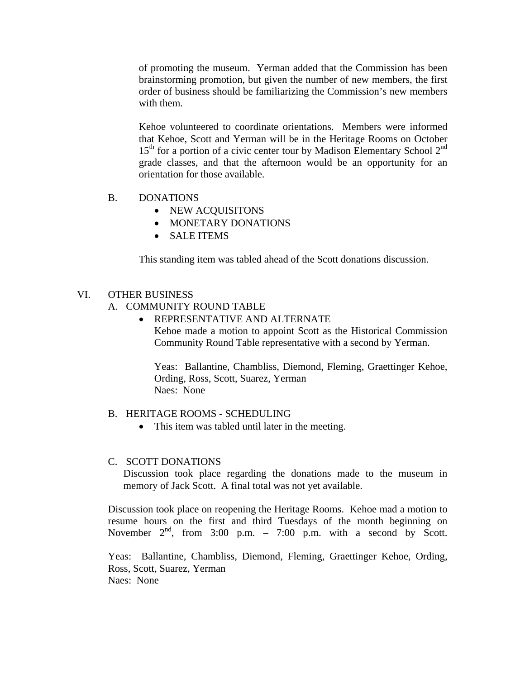of promoting the museum. Yerman added that the Commission has been brainstorming promotion, but given the number of new members, the first order of business should be familiarizing the Commission's new members with them.

Kehoe volunteered to coordinate orientations. Members were informed that Kehoe, Scott and Yerman will be in the Heritage Rooms on October  $15<sup>th</sup>$  for a portion of a civic center tour by Madison Elementary School  $2<sup>nd</sup>$ grade classes, and that the afternoon would be an opportunity for an orientation for those available.

- B. DONATIONS
	- NEW ACQUISITONS
	- MONETARY DONATIONS
	- SALE ITEMS

This standing item was tabled ahead of the Scott donations discussion.

#### VI. OTHER BUSINESS

A. COMMUNITY ROUND TABLE

• REPRESENTATIVE AND ALTERNATE Kehoe made a motion to appoint Scott as the Historical Commission Community Round Table representative with a second by Yerman.

Yeas: Ballantine, Chambliss, Diemond, Fleming, Graettinger Kehoe, Ording, Ross, Scott, Suarez, Yerman Naes: None

#### B. HERITAGE ROOMS - SCHEDULING

• This item was tabled until later in the meeting.

#### C. SCOTT DONATIONS

Discussion took place regarding the donations made to the museum in memory of Jack Scott. A final total was not yet available.

Discussion took place on reopening the Heritage Rooms. Kehoe mad a motion to resume hours on the first and third Tuesdays of the month beginning on November  $2<sup>nd</sup>$ , from 3:00 p.m. – 7:00 p.m. with a second by Scott.

Yeas: Ballantine, Chambliss, Diemond, Fleming, Graettinger Kehoe, Ording, Ross, Scott, Suarez, Yerman Naes: None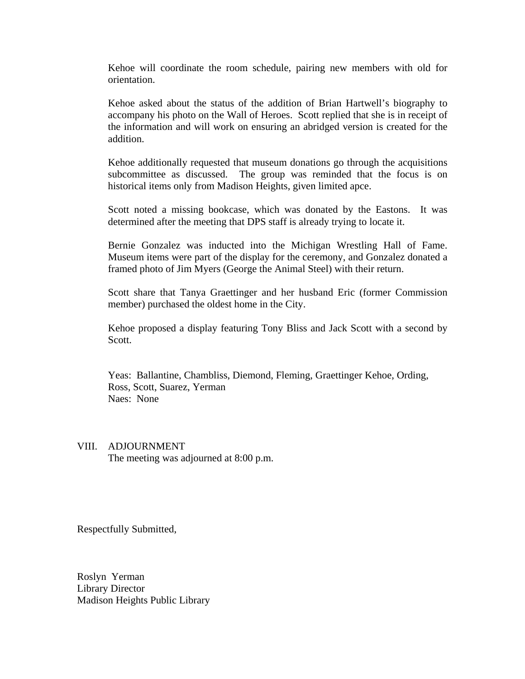Kehoe will coordinate the room schedule, pairing new members with old for orientation.

Kehoe asked about the status of the addition of Brian Hartwell's biography to accompany his photo on the Wall of Heroes. Scott replied that she is in receipt of the information and will work on ensuring an abridged version is created for the addition.

Kehoe additionally requested that museum donations go through the acquisitions subcommittee as discussed. The group was reminded that the focus is on historical items only from Madison Heights, given limited apce.

Scott noted a missing bookcase, which was donated by the Eastons. It was determined after the meeting that DPS staff is already trying to locate it.

Bernie Gonzalez was inducted into the Michigan Wrestling Hall of Fame. Museum items were part of the display for the ceremony, and Gonzalez donated a framed photo of Jim Myers (George the Animal Steel) with their return.

Scott share that Tanya Graettinger and her husband Eric (former Commission member) purchased the oldest home in the City.

Kehoe proposed a display featuring Tony Bliss and Jack Scott with a second by Scott.

Yeas: Ballantine, Chambliss, Diemond, Fleming, Graettinger Kehoe, Ording, Ross, Scott, Suarez, Yerman Naes: None

#### VIII. ADJOURNMENT

The meeting was adjourned at 8:00 p.m.

Respectfully Submitted,

Roslyn Yerman Library Director Madison Heights Public Library